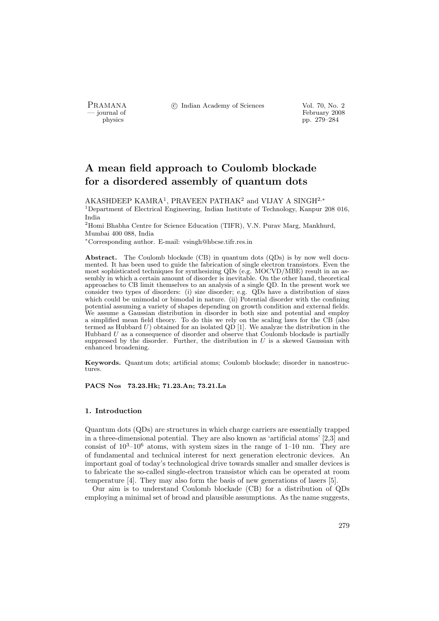PRAMANA °c Indian Academy of Sciences Vol. 70, No. 2

physics<br>
and the settlement of February 2008<br>
pp. 279–284 physics pp. 279–284

# A mean field approach to Coulomb blockade for a disordered assembly of quantum dots

AKASHDEEP KAMRA<sup>1</sup>, PRAVEEN PATHAK<sup>2</sup> and VIJAY A SINGH<sup>2,\*</sup> <sup>1</sup>Department of Electrical Engineering, Indian Institute of Technology, Kanpur 208 016, India

<sup>2</sup>Homi Bhabha Centre for Science Education (TIFR), V.N. Purav Marg, Mankhurd, Mumbai 400 088, India

<sup>∗</sup>Corresponding author. E-mail: vsingh@hbcse.tifr.res.in

Abstract. The Coulomb blockade (CB) in quantum dots (QDs) is by now well documented. It has been used to guide the fabrication of single electron transistors. Even the most sophisticated techniques for synthesizing QDs (e.g. MOCVD/MBE) result in an assembly in which a certain amount of disorder is inevitable. On the other hand, theoretical approaches to CB limit themselves to an analysis of a single QD. In the present work we consider two types of disorders: (i) size disorder; e.g. QDs have a distribution of sizes which could be unimodal or bimodal in nature. (ii) Potential disorder with the confining potential assuming a variety of shapes depending on growth condition and external fields. We assume a Gaussian distribution in disorder in both size and potential and employ a simplified mean field theory. To do this we rely on the scaling laws for the CB (also termed as Hubbard  $U$ ) obtained for an isolated QD [1]. We analyze the distribution in the Hubbard  $U$  as a consequence of disorder and observe that Coulomb blockade is partially suppressed by the disorder. Further, the distribution in  $U$  is a skewed Gaussian with enhanced broadening.

Keywords. Quantum dots; artificial atoms; Coulomb blockade; disorder in nanostructures.

PACS Nos 73.23.Hk; 71.23.An; 73.21.La

# 1. Introduction

Quantum dots (QDs) are structures in which charge carriers are essentially trapped in a three-dimensional potential. They are also known as 'artificial atoms' [2,3] and consist of  $10^3$ – $10^6$  atoms, with system sizes in the range of 1–10 nm. They are of fundamental and technical interest for next generation electronic devices. An important goal of today's technological drive towards smaller and smaller devices is to fabricate the so-called single-electron transistor which can be operated at room temperature [4]. They may also form the basis of new generations of lasers [5].

Our aim is to understand Coulomb blockade (CB) for a distribution of QDs employing a minimal set of broad and plausible assumptions. As the name suggests,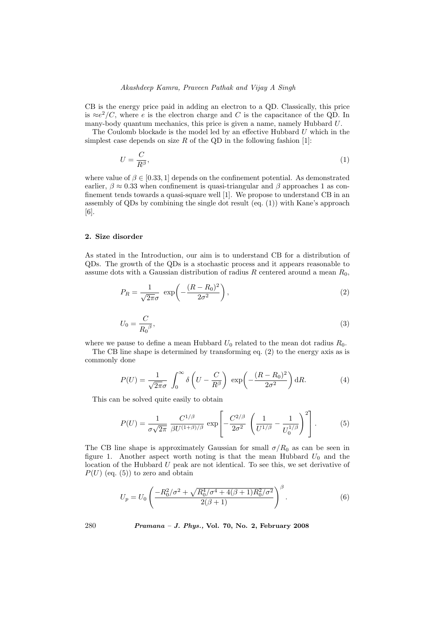# Akashdeep Kamra, Praveen Pathak and Vijay A Singh

CB is the energy price paid in adding an electron to a QD. Classically, this price is  $\approx e^2/C$ , where e is the electron charge and C is the capacitance of the QD. In many-body quantum mechanics, this price is given a name, namely Hubbard U.

The Coulomb blockade is the model led by an effective Hubbard  $U$  which in the simplest case depends on size  $R$  of the QD in the following fashion [1]:

$$
U = \frac{C}{R^{\beta}},\tag{1}
$$

where value of  $\beta \in [0.33, 1]$  depends on the confinement potential. As demonstrated earlier,  $\beta \approx 0.33$  when confinement is quasi-triangular and  $\beta$  approaches 1 as confinement tends towards a quasi-square well [1]. We propose to understand CB in an assembly of QDs by combining the single dot result (eq. (1)) with Kane's approach [6].

#### 2. Size disorder

As stated in the Introduction, our aim is to understand CB for a distribution of QDs. The growth of the QDs is a stochastic process and it appears reasonable to assume dots with a Gaussian distribution of radius R centered around a mean  $R_0$ ,

$$
P_R = \frac{1}{\sqrt{2\pi}\sigma} \exp\left(-\frac{(R - R_0)^2}{2\sigma^2}\right),\tag{2}
$$

$$
U_0 = \frac{C}{R_0{}^\beta},\tag{3}
$$

where we pause to define a mean Hubbard  $U_0$  related to the mean dot radius  $R_0$ .

The CB line shape is determined by transforming eq. (2) to the energy axis as is commonly done

$$
P(U) = \frac{1}{\sqrt{2\pi}\sigma} \int_0^\infty \delta\left(U - \frac{C}{R^\beta}\right) \exp\left(-\frac{(R - R_0)^2}{2\sigma^2}\right) dR. \tag{4}
$$

This can be solved quite easily to obtain

$$
P(U) = \frac{1}{\sigma\sqrt{2\pi}} \frac{C^{1/\beta}}{\beta U^{(1+\beta)/\beta}} \exp\left[-\frac{C^{2/\beta}}{2\sigma^2} \left(\frac{1}{U^{1/\beta}} - \frac{1}{U_0^{1/\beta}}\right)^2\right].
$$
 (5)

The CB line shape is approximately Gaussian for small  $\sigma/R_0$  as can be seen in figure 1. Another aspect worth noting is that the mean Hubbard  $U_0$  and the location of the Hubbard U peak are not identical. To see this, we set derivative of  $P(U)$  (eq. (5)) to zero and obtain

$$
U_p = U_0 \left( \frac{-R_0^2/\sigma^2 + \sqrt{R_0^4/\sigma^4 + 4(\beta + 1)R_0^2/\sigma^2}}{2(\beta + 1)} \right)^{\beta}.
$$
 (6)

280 Pramana – J. Phys., Vol. 70, No. 2, February 2008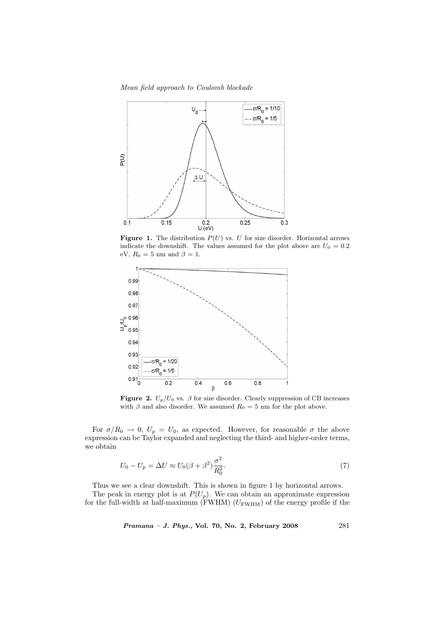Mean field approach to Coulomb blockade



**Figure 1.** The distribution  $P(U)$  vs. U for size disorder. Horizontal arrows indicate the downshift. The values assumed for the plot above are  $U_0 = 0.2$ eV,  $R_0 = 5$  nm and  $\beta = 1$ .



Figure 2.  $U_p/U_0$  vs.  $\beta$  for size disorder. Clearly suppression of CB increases with  $\beta$  and also disorder. We assumed  $R_0 = 5$  nm for the plot above.

For  $\sigma/R_0 \rightarrow 0$ ,  $U_p = U_0$ , as expected. However, for reasonable  $\sigma$  the above expression can be Taylor expanded and neglecting the third- and higher-order terms, we obtain

$$
U_0 - U_p = \Delta U \approx U_0 (\beta + \beta^2) \frac{\sigma^2}{R_0^2}.
$$
\n
$$
\tag{7}
$$

Thus we see a clear downshift. This is shown in figure 1 by horizontal arrows.

The peak in energy plot is at  $P(U_p)$ . We can obtain an approximate expression for the full-width at half-maximum (FWHM)  $(U_{\rm FWHM})$  of the energy profile if the

Pramana – J. Phys., Vol. 70, No. 2, February 2008 281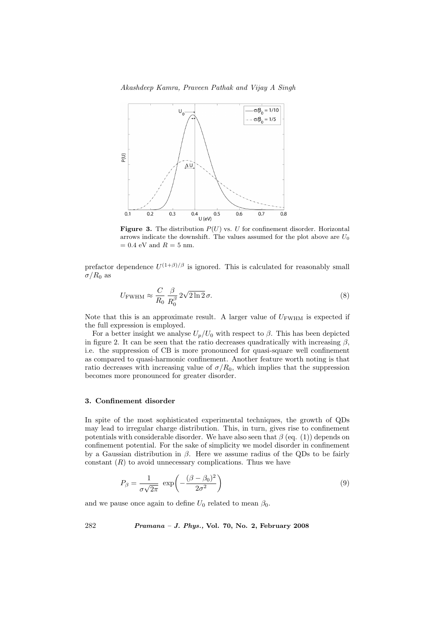Akashdeep Kamra, Praveen Pathak and Vijay A Singh



**Figure 3.** The distribution  $P(U)$  vs. U for confinement disorder. Horizontal arrows indicate the downshift. The values assumed for the plot above are  $U_0$  $= 0.4$  eV and  $R = 5$  nm.

prefactor dependence  $U^{(1+\beta)/\beta}$  is ignored. This is calculated for reasonably small  $\sigma/R_0$  as

$$
U_{\text{FWHM}} \approx \frac{C}{R_0} \frac{\beta}{R_0^{\beta}} 2\sqrt{2\ln 2} \sigma. \tag{8}
$$

Note that this is an approximate result. A larger value of  $U_{\text{FWHM}}$  is expected if the full expression is employed.

For a better insight we analyse  $U_p/U_0$  with respect to  $\beta$ . This has been depicted in figure 2. It can be seen that the ratio decreases quadratically with increasing  $\beta$ , i.e. the suppression of CB is more pronounced for quasi-square well confinement as compared to quasi-harmonic confinement. Another feature worth noting is that ratio decreases with increasing value of  $\sigma/R_0$ , which implies that the suppression becomes more pronounced for greater disorder.

#### 3. Confinement disorder

In spite of the most sophisticated experimental techniques, the growth of QDs may lead to irregular charge distribution. This, in turn, gives rise to confinement potentials with considerable disorder. We have also seen that  $\beta$  (eq. (1)) depends on confinement potential. For the sake of simplicity we model disorder in confinement by a Gaussian distribution in  $\beta$ . Here we assume radius of the QDs to be fairly constant  $(R)$  to avoid unnecessary complications. Thus we have

$$
P_{\beta} = \frac{1}{\sigma\sqrt{2\pi}} \exp\left(-\frac{(\beta - \beta_0)^2}{2\sigma^2}\right) \tag{9}
$$

and we pause once again to define  $U_0$  related to mean  $\beta_0$ .

282 Pramana – J. Phys., Vol. 70, No. 2, February 2008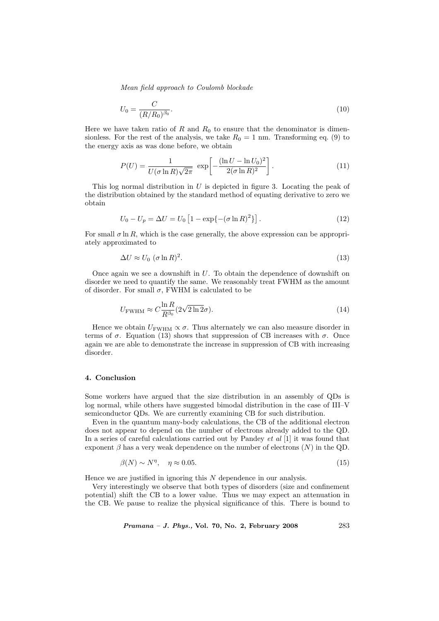Mean field approach to Coulomb blockade

$$
U_0 = \frac{C}{(R/R_0)^{\beta_0}}.\tag{10}
$$

Here we have taken ratio of  $R$  and  $R_0$  to ensure that the denominator is dimensionless. For the rest of the analysis, we take  $R_0 = 1$  nm. Transforming eq. (9) to the energy axis as was done before, we obtain

$$
P(U) = \frac{1}{U(\sigma \ln R)\sqrt{2\pi}} \exp\left[-\frac{(\ln U - \ln U_0)^2}{2(\sigma \ln R)^2}\right].
$$
 (11)

This log normal distribution in  $U$  is depicted in figure 3. Locating the peak of the distribution obtained by the standard method of equating derivative to zero we obtain

$$
U_0 - U_p = \Delta U = U_0 \left[ 1 - \exp\{-(\sigma \ln R)^2\} \right].
$$
 (12)

For small  $\sigma \ln R$ , which is the case generally, the above expression can be appropriately approximated to

$$
\Delta U \approx U_0 \ (\sigma \ln R)^2. \tag{13}
$$

Once again we see a downshift in  $U$ . To obtain the dependence of downshift on disorder we need to quantify the same. We reasonably treat FWHM as the amount of disorder. For small  $\sigma$ , FWHM is calculated to be

$$
U_{\text{FWHM}} \approx C \frac{\ln R}{R^{\beta_0}} (2\sqrt{2\ln 2}\sigma). \tag{14}
$$

Hence we obtain  $U_{\rm FWHM} \propto \sigma$ . Thus alternately we can also measure disorder in terms of  $\sigma$ . Equation (13) shows that suppression of CB increases with  $\sigma$ . Once again we are able to demonstrate the increase in suppression of CB with increasing disorder.

# 4. Conclusion

Some workers have argued that the size distribution in an assembly of QDs is log normal, while others have suggested bimodal distribution in the case of III–V semiconductor QDs. We are currently examining CB for such distribution.

Even in the quantum many-body calculations, the CB of the additional electron does not appear to depend on the number of electrons already added to the QD. In a series of careful calculations carried out by Pandey *et al* [1] it was found that exponent  $\beta$  has a very weak dependence on the number of electrons  $(N)$  in the QD.

$$
\beta(N) \sim N^{\eta}, \quad \eta \approx 0.05. \tag{15}
$$

Hence we are justified in ignoring this  $N$  dependence in our analysis.

Very interestingly we observe that both types of disorders (size and confinement potential) shift the CB to a lower value. Thus we may expect an attenuation in the CB. We pause to realize the physical significance of this. There is bound to

*Pramana – J. Phys.*, Vol. 70, No. 2, February 2008 283